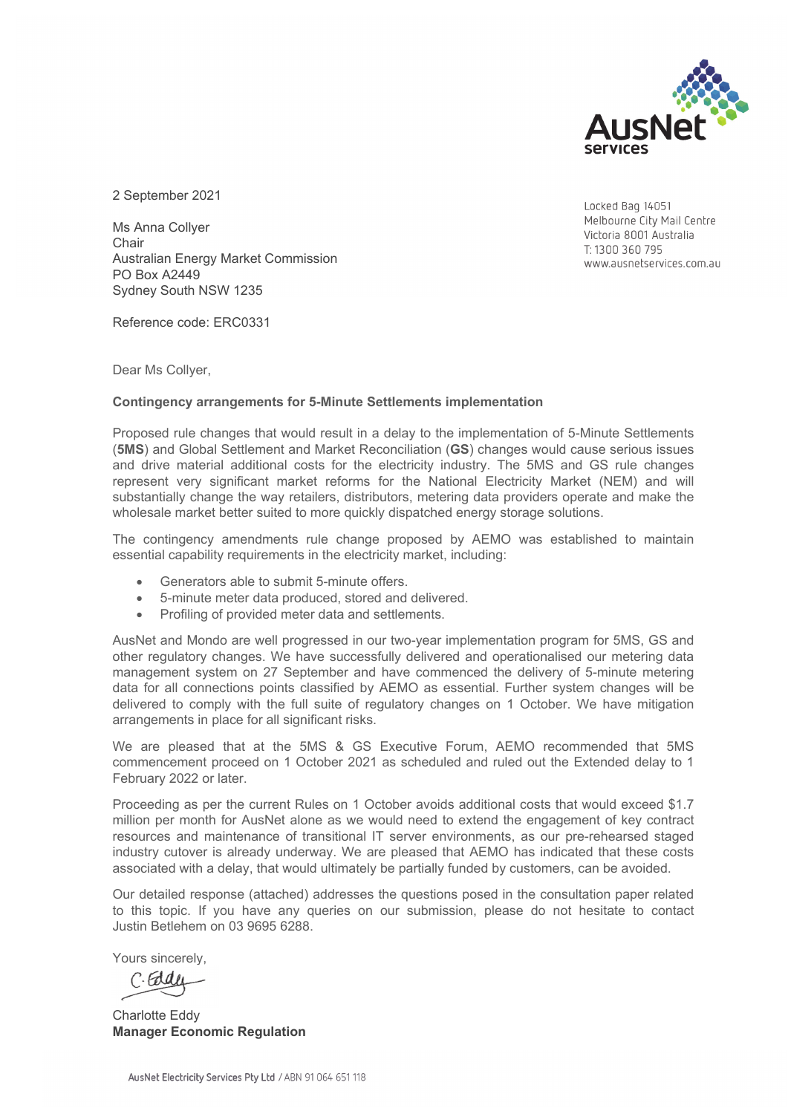

2 September 2021

Ms Anna Collyer **Chair** Australian Energy Market Commission PO Box A2449 Sydney South NSW 1235

Reference code: ERC0331

Dear Ms Collyer,

#### **Contingency arrangements for 5-Minute Settlements implementation**

Proposed rule changes that would result in a delay to the implementation of 5-Minute Settlements (**5MS**) and Global Settlement and Market Reconciliation (**GS**) changes would cause serious issues and drive material additional costs for the electricity industry. The 5MS and GS rule changes represent very significant market reforms for the National Electricity Market (NEM) and will substantially change the way retailers, distributors, metering data providers operate and make the wholesale market better suited to more quickly dispatched energy storage solutions.

The contingency amendments rule change proposed by AEMO was established to maintain essential capability requirements in the electricity market, including:

- Generators able to submit 5-minute offers.
- 5-minute meter data produced, stored and delivered.
- Profiling of provided meter data and settlements.

AusNet and Mondo are well progressed in our two-year implementation program for 5MS, GS and other regulatory changes. We have successfully delivered and operationalised our metering data management system on 27 September and have commenced the delivery of 5-minute metering data for all connections points classified by AEMO as essential. Further system changes will be delivered to comply with the full suite of regulatory changes on 1 October. We have mitigation arrangements in place for all significant risks.

We are pleased that at the 5MS & GS Executive Forum, AEMO recommended that 5MS commencement proceed on 1 October 2021 as scheduled and ruled out the Extended delay to 1 February 2022 or later.

Proceeding as per the current Rules on 1 October avoids additional costs that would exceed \$1.7 million per month for AusNet alone as we would need to extend the engagement of key contract resources and maintenance of transitional IT server environments, as our pre-rehearsed staged industry cutover is already underway. We are pleased that AEMO has indicated that these costs associated with a delay, that would ultimately be partially funded by customers, can be avoided.

Our detailed response (attached) addresses the questions posed in the consultation paper related to this topic. If you have any queries on our submission, please do not hesitate to contact Justin Betlehem on 03 9695 6288.

Yours sincerely,

Charlotte Eddy **Manager Economic Regulation** 

Locked Bag 14051 Melbourne City Mail Centre Victoria 8001 Australia T: 1300 360 795 www.ausnetservices.com.au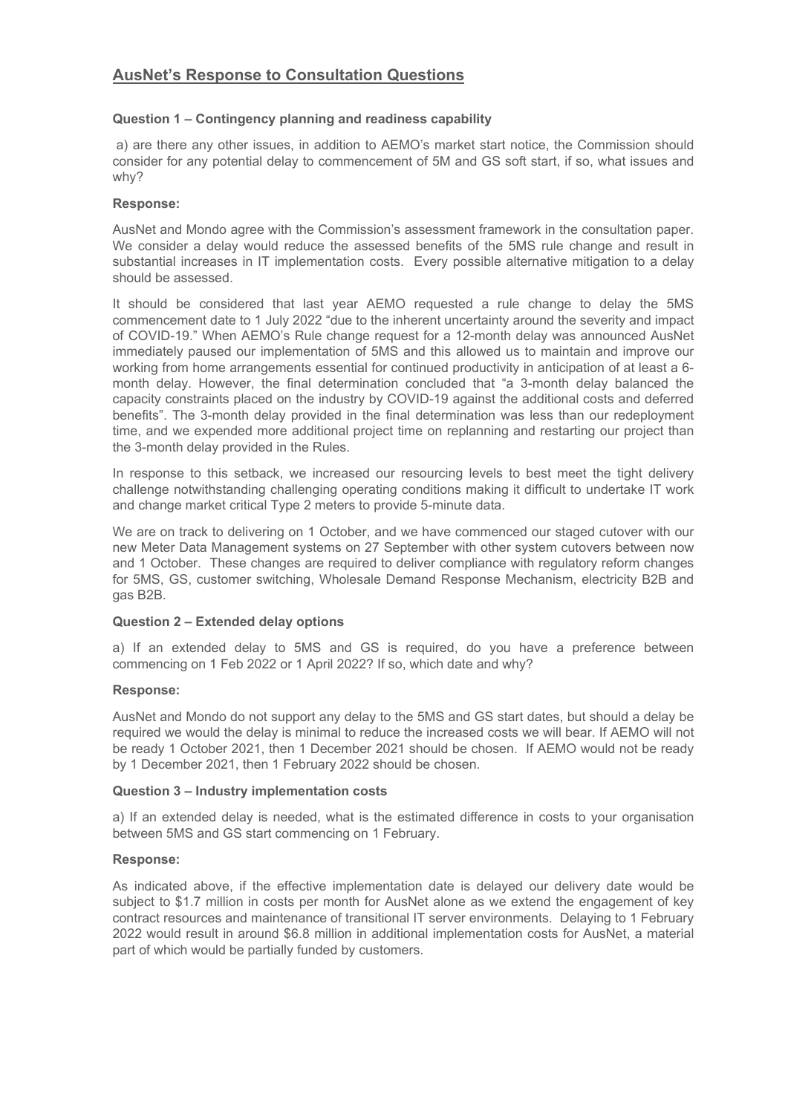# **Question 1 – Contingency planning and readiness capability**

 a) are there any other issues, in addition to AEMO's market start notice, the Commission should consider for any potential delay to commencement of 5M and GS soft start, if so, what issues and why?

# **Response:**

AusNet and Mondo agree with the Commission's assessment framework in the consultation paper. We consider a delay would reduce the assessed benefits of the 5MS rule change and result in substantial increases in IT implementation costs. Every possible alternative mitigation to a delay should be assessed.

It should be considered that last year AEMO requested a rule change to delay the 5MS commencement date to 1 July 2022 "due to the inherent uncertainty around the severity and impact of COVID-19." When AEMO's Rule change request for a 12-month delay was announced AusNet immediately paused our implementation of 5MS and this allowed us to maintain and improve our working from home arrangements essential for continued productivity in anticipation of at least a 6 month delay. However, the final determination concluded that "a 3-month delay balanced the capacity constraints placed on the industry by COVID-19 against the additional costs and deferred benefits". The 3-month delay provided in the final determination was less than our redeployment time, and we expended more additional project time on replanning and restarting our project than the 3-month delay provided in the Rules.

In response to this setback, we increased our resourcing levels to best meet the tight delivery challenge notwithstanding challenging operating conditions making it difficult to undertake IT work and change market critical Type 2 meters to provide 5-minute data.

We are on track to delivering on 1 October, and we have commenced our staged cutover with our new Meter Data Management systems on 27 September with other system cutovers between now and 1 October. These changes are required to deliver compliance with regulatory reform changes for 5MS, GS, customer switching, Wholesale Demand Response Mechanism, electricity B2B and gas B2B.

# **Question 2 – Extended delay options**

a) If an extended delay to 5MS and GS is required, do you have a preference between commencing on 1 Feb 2022 or 1 April 2022? If so, which date and why?

# **Response:**

AusNet and Mondo do not support any delay to the 5MS and GS start dates, but should a delay be required we would the delay is minimal to reduce the increased costs we will bear. If AEMO will not be ready 1 October 2021, then 1 December 2021 should be chosen. If AEMO would not be ready by 1 December 2021, then 1 February 2022 should be chosen.

# **Question 3 – Industry implementation costs**

a) If an extended delay is needed, what is the estimated difference in costs to your organisation between 5MS and GS start commencing on 1 February.

# **Response:**

As indicated above, if the effective implementation date is delayed our delivery date would be subject to \$1.7 million in costs per month for AusNet alone as we extend the engagement of key contract resources and maintenance of transitional IT server environments. Delaying to 1 February 2022 would result in around \$6.8 million in additional implementation costs for AusNet, a material part of which would be partially funded by customers.